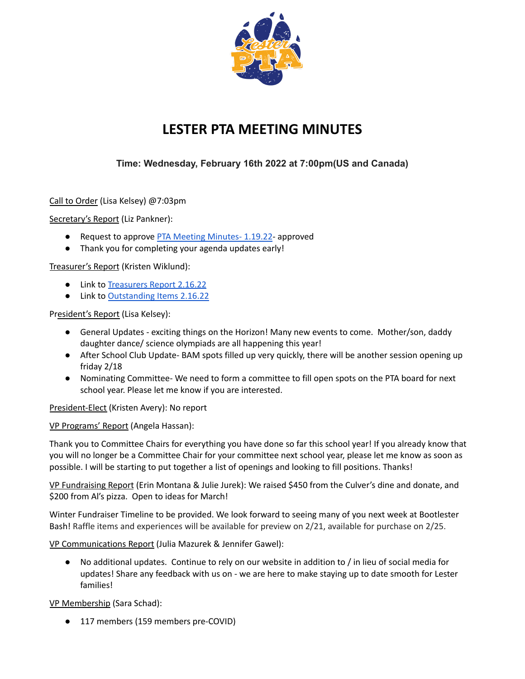

## **LESTER PTA MEETING MINUTES**

## **Time: Wednesday, February 16th 2022 at 7:00pm(US and Canada)**

Call to Order (Lisa Kelsey) @7:03pm

Secretary's Report (Liz Pankner):

- Request to approve PTA Meeting [Minutes-](https://docs.google.com/document/u/0/d/1_OLC4ztTj2JxyvhuROtiWZ6XMIOC3E3epvtRUB-uZsw/edit)1.19.22- approved
- Thank you for completing your agenda updates early!

Treasurer's Report (Kristen Wiklund):

- Link to [Treasurers](https://drive.google.com/file/d/1HqUHbTvyOjdidVsfzqJB4_b6Ag9lC83j/view?usp=sharing) Report 2.16.22
- Link to [Outstanding](https://drive.google.com/file/d/1Wzv30GyVm-T0stMbExAz4IoIkMAtO4KI/view?usp=sharing) Items 2.16.22

President's Report (Lisa Kelsey):

- General Updates exciting things on the Horizon! Many new events to come. Mother/son, daddy daughter dance/ science olympiads are all happening this year!
- After School Club Update- BAM spots filled up very quickly, there will be another session opening up friday 2/18
- Nominating Committee- We need to form a committee to fill open spots on the PTA board for next school year. Please let me know if you are interested.

President-Elect (Kristen Avery): No report

VP Programs' Report (Angela Hassan):

Thank you to Committee Chairs for everything you have done so far this school year! If you already know that you will no longer be a Committee Chair for your committee next school year, please let me know as soon as possible. I will be starting to put together a list of openings and looking to fill positions. Thanks!

VP Fundraising Report (Erin Montana & Julie Jurek): We raised \$450 from the Culver's dine and donate, and \$200 from Al's pizza. Open to ideas for March!

Winter Fundraiser Timeline to be provided. We look forward to seeing many of you next week at Bootlester Bash! Raffle items and experiences will be available for preview on 2/21, available for purchase on 2/25.

VP Communications Report (Julia Mazurek & Jennifer Gawel):

● No additional updates. Continue to rely on our website in addition to / in lieu of social media for updates! Share any feedback with us on - we are here to make staying up to date smooth for Lester families!

VP Membership (Sara Schad):

● 117 members (159 members pre-COVID)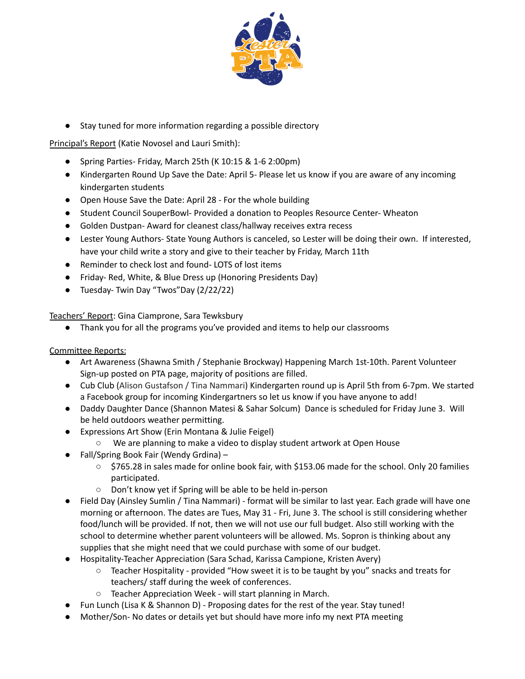

● Stay tuned for more information regarding a possible directory

Principal's Report (Katie Novosel and Lauri Smith):

- Spring Parties- Friday, March 25th (K 10:15 & 1-6 2:00pm)
- Kindergarten Round Up Save the Date: April 5- Please let us know if you are aware of any incoming kindergarten students
- Open House Save the Date: April 28 For the whole building
- Student Council SouperBowl- Provided a donation to Peoples Resource Center- Wheaton
- Golden Dustpan- Award for cleanest class/hallway receives extra recess
- Lester Young Authors- State Young Authors is canceled, so Lester will be doing their own. If interested, have your child write a story and give to their teacher by Friday, March 11th
- Reminder to check lost and found-LOTS of lost items
- Friday- Red, White, & Blue Dress up (Honoring Presidents Day)
- Tuesday- Twin Day "Twos"Day (2/22/22)

Teachers' Report: Gina Ciamprone, Sara Tewksbury

● Thank you for all the programs you've provided and items to help our classrooms

Committee Reports:

- Art Awareness (Shawna Smith / Stephanie Brockway) Happening March 1st-10th. Parent Volunteer Sign-up posted on PTA page, majority of positions are filled.
- Cub Club (Alison Gustafson / Tina Nammari) Kindergarten round up is April 5th from 6-7pm. We started a Facebook group for incoming Kindergartners so let us know if you have anyone to add!
- Daddy Daughter Dance (Shannon Matesi & Sahar Solcum) Dance is scheduled for Friday June 3. Will be held outdoors weather permitting.
- Expressions Art Show (Erin Montana & Julie Feigel)
	- We are planning to make a video to display student artwork at Open House
- Fall/Spring Book Fair (Wendy Grdina)
	- \$765.28 in sales made for online book fair, with \$153.06 made for the school. Only 20 families participated.
	- Don't know yet if Spring will be able to be held in-person
- Field Day (Ainsley Sumlin / Tina Nammari) format will be similar to last year. Each grade will have one morning or afternoon. The dates are Tues, May 31 - Fri, June 3. The school is still considering whether food/lunch will be provided. If not, then we will not use our full budget. Also still working with the school to determine whether parent volunteers will be allowed. Ms. Sopron is thinking about any supplies that she might need that we could purchase with some of our budget.
- Hospitality-Teacher Appreciation (Sara Schad, Karissa Campione, Kristen Avery)
	- Teacher Hospitality provided "How sweet it is to be taught by you" snacks and treats for teachers/ staff during the week of conferences.
	- Teacher Appreciation Week will start planning in March.
- Fun Lunch (Lisa K & Shannon D) Proposing dates for the rest of the year. Stay tuned!
- Mother/Son- No dates or details yet but should have more info my next PTA meeting